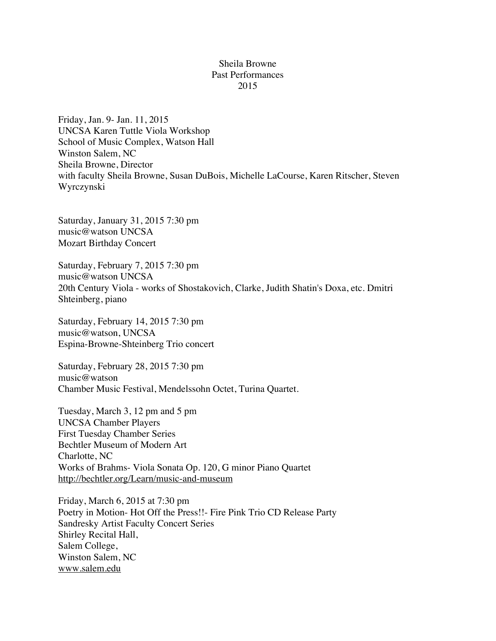## Sheila Browne Past Performances 2015

Friday, Jan. 9- Jan. 11, 2015 UNCSA Karen Tuttle Viola Workshop School of Music Complex, Watson Hall Winston Salem, NC Sheila Browne, Director with faculty Sheila Browne, Susan DuBois, Michelle LaCourse, Karen Ritscher, Steven Wyrczynski

Saturday, January 31, 2015 7:30 pm music@watson UNCSA Mozart Birthday Concert

Saturday, February 7, 2015 7:30 pm music@watson UNCSA 20th Century Viola - works of Shostakovich, Clarke, Judith Shatin's Doxa, etc. Dmitri Shteinberg, piano

Saturday, February 14, 2015 7:30 pm music@watson, UNCSA Espina-Browne-Shteinberg Trio concert

Saturday, February 28, 2015 7:30 pm music@watson Chamber Music Festival, Mendelssohn Octet, Turina Quartet.

Tuesday, March 3, 12 pm and 5 pm UNCSA Chamber Players First Tuesday Chamber Series Bechtler Museum of Modern Art Charlotte, NC Works of Brahms- Viola Sonata Op. 120, G minor Piano Quartet http://bechtler.org/Learn/music-and-museum

Friday, March 6, 2015 at 7:30 pm Poetry in Motion- Hot Off the Press!!- Fire Pink Trio CD Release Party Sandresky Artist Faculty Concert Series Shirley Recital Hall, Salem College, Winston Salem, NC www.salem.edu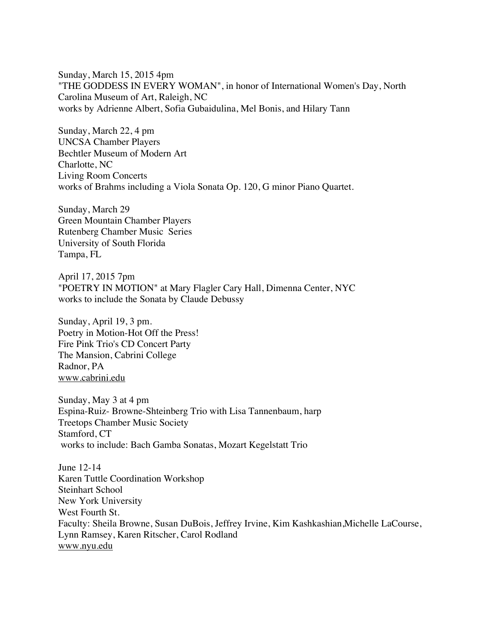Sunday, March 15, 2015 4pm "THE GODDESS IN EVERY WOMAN", in honor of International Women's Day, North Carolina Museum of Art, Raleigh, NC works by Adrienne Albert, Sofia Gubaidulina, Mel Bonis, and Hilary Tann

Sunday, March 22, 4 pm UNCSA Chamber Players Bechtler Museum of Modern Art Charlotte, NC Living Room Concerts works of Brahms including a Viola Sonata Op. 120, G minor Piano Quartet.

Sunday, March 29 Green Mountain Chamber Players Rutenberg Chamber Music Series University of South Florida Tampa, FL

April 17, 2015 7pm "POETRY IN MOTION" at Mary Flagler Cary Hall, Dimenna Center, NYC works to include the Sonata by Claude Debussy

Sunday, April 19, 3 pm. Poetry in Motion-Hot Off the Press! Fire Pink Trio's CD Concert Party The Mansion, Cabrini College Radnor, PA www.cabrini.edu

Sunday, May 3 at 4 pm Espina-Ruiz- Browne-Shteinberg Trio with Lisa Tannenbaum, harp Treetops Chamber Music Society Stamford, CT works to include: Bach Gamba Sonatas, Mozart Kegelstatt Trio

June 12-14 Karen Tuttle Coordination Workshop Steinhart School New York University West Fourth St. Faculty: Sheila Browne, Susan DuBois, Jeffrey Irvine, Kim Kashkashian,Michelle LaCourse, Lynn Ramsey, Karen Ritscher, Carol Rodland www.nyu.edu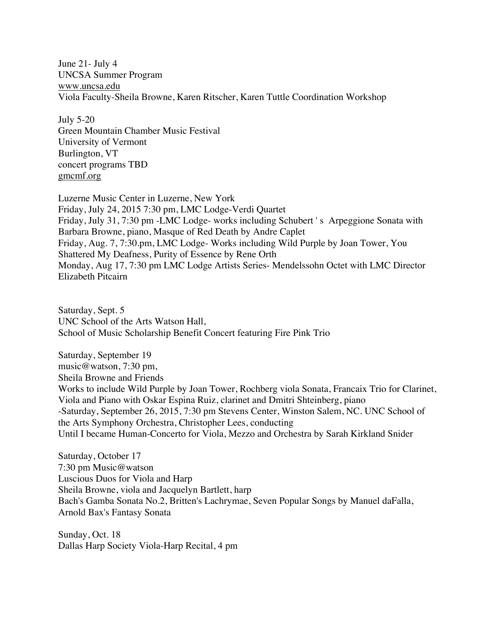June 21- July 4 UNCSA Summer Program www.uncsa.edu Viola Faculty-Sheila Browne, Karen Ritscher, Karen Tuttle Coordination Workshop

July 5-20 Green Mountain Chamber Music Festival University of Vermont Burlington, VT concert programs TBD gmcmf.org

Luzerne Music Center in Luzerne, New York Friday, July 24, 2015 7:30 pm, LMC Lodge-Verdi Quartet Friday, July 31, 7:30 pm -LMC Lodge- works including Schubert ' s Arpeggione Sonata with Barbara Browne, piano, Masque of Red Death by Andre Caplet Friday, Aug. 7, 7:30.pm, LMC Lodge- Works including Wild Purple by Joan Tower, You Shattered My Deafness, Purity of Essence by Rene Orth Monday, Aug 17, 7:30 pm LMC Lodge Artists Series- Mendelssohn Octet with LMC Director Elizabeth Pitcairn

Saturday, Sept. 5 UNC School of the Arts Watson Hall, School of Music Scholarship Benefit Concert featuring Fire Pink Trio

Saturday, September 19 music@watson, 7:30 pm, Sheila Browne and Friends Works to include Wild Purple by Joan Tower, Rochberg viola Sonata, Francaix Trio for Clarinet, Viola and Piano with Oskar Espina Ruiz, clarinet and Dmitri Shteinberg, piano -Saturday, September 26, 2015, 7:30 pm Stevens Center, Winston Salem, NC. UNC School of the Arts Symphony Orchestra, Christopher Lees, conducting Until I became Human-Concerto for Viola, Mezzo and Orchestra by Sarah Kirkland Snider

Saturday, October 17 7:30 pm Music@watson Luscious Duos for Viola and Harp Sheila Browne, viola and Jacquelyn Bartlett, harp Bach's Gamba Sonata No.2, Britten's Lachrymae, Seven Popular Songs by Manuel daFalla, Arnold Bax's Fantasy Sonata

Sunday, Oct. 18 Dallas Harp Society Viola-Harp Recital, 4 pm